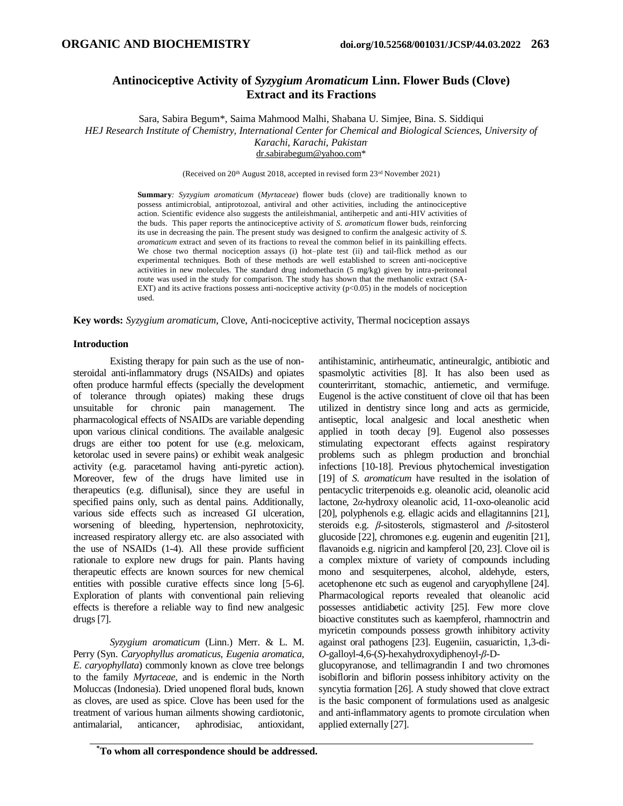# **Antinociceptive Activity of** *Syzygium Aromaticum* **Linn. Flower Buds (Clove) Extract and its Fractions**

Sara, Sabira Begum\*, Saima Mahmood Malhi, Shabana U. Simjee, Bina. S. Siddiqui *HEJ Research Institute of Chemistry, International Center for Chemical and Biological Sciences, University of Karachi, Karachi, Pakistan.* [dr.sabirabegum@yahoo.com\\*](mailto:dr.sabirabegum@yahoo.com)

(Received on 20th August 2018, accepted in revised form 23rd November 2021)

**Summary***: Syzygium aromaticum* (*Myrtaceae*) flower buds (clove) are traditionally known to possess antimicrobial, antiprotozoal, antiviral and other activities, including the antinociceptive action. Scientific evidence also suggests the antileishmanial, antiherpetic and anti-HIV activities of the buds. This paper reports the antinociceptive activity of *S. aromaticum* flower buds, reinforcing its use in decreasing the pain. The present study was designed to confirm the analgesic activity of *S. aromaticum* extract and seven of its fractions to reveal the common belief in its painkilling effects. We chose two thermal nociception assays (i) hot–plate test (ii) and tail-flick method as our experimental techniques. Both of these methods are well established to screen anti-nociceptive activities in new molecules. The standard drug indomethacin (5 mg/kg) given by intra-peritoneal route was used in the study for comparison. The study has shown that the methanolic extract (SA-EXT) and its active fractions possess anti-nociceptive activity  $(p<0.05)$  in the models of nociception used.

**Key words:** *Syzygium aromaticum*, Clove, Anti-nociceptive activity, Thermal nociception assays

# **Introduction**

Existing therapy for pain such as the use of nonsteroidal anti-inflammatory drugs (NSAIDs) and opiates often produce harmful effects (specially the development of tolerance through opiates) making these drugs unsuitable for chronic pain management. The pharmacological effects of NSAIDs are variable depending upon various clinical conditions. The available analgesic drugs are either too potent for use (e.g. meloxicam, ketorolac used in severe pains) or exhibit weak analgesic activity (e.g. paracetamol having anti-pyretic action). Moreover, few of the drugs have limited use in therapeutics (e.g. diflunisal), since they are useful in specified pains only, such as dental pains. Additionally, various side effects such as increased GI ulceration, worsening of bleeding, hypertension, nephrotoxicity, increased respiratory allergy etc. are also associated with the use of NSAIDs (1-4). All these provide sufficient rationale to explore new drugs for pain. Plants having therapeutic effects are known sources for new chemical entities with possible curative effects since long [5-6]. Exploration of plants with conventional pain relieving effects is therefore a reliable way to find new analgesic drugs [7].

*Syzygium aromaticum* (Linn.) Merr. & L. M. Perry (Syn. *Caryophyllus aromaticus, Eugenia aromatica, E. caryophyllata*) commonly known as clove tree belongs to the family *Myrtaceae*, and is endemic in the North Moluccas (Indonesia). Dried unopened floral buds, known as cloves, are used as spice. Clove has been used for the treatment of various human ailments showing cardiotonic, antimalarial, anticancer, aphrodisiac, antioxidant, antihistaminic, antirheumatic, antineuralgic, antibiotic and spasmolytic activities [8]. It has also been used as counterirritant, stomachic, antiemetic, and vermifuge. Eugenol is the active constituent of clove oil that has been utilized in dentistry since long and acts as germicide, antiseptic, local analgesic and local anesthetic when applied in tooth decay [9]. Eugenol also possesses stimulating expectorant effects against respiratory problems such as phlegm production and bronchial infections [10-18]. Previous phytochemical investigation [19] of *S. aromaticum* have resulted in the isolation of pentacyclic triterpenoids e.g. oleanolic acid, oleanolic acid lactone, 2*α*-hydroxy oleanolic acid, 11-oxo-oleanolic acid [20], polyphenols e.g. ellagic acids and ellagitannins [21], steroids e.g. *β*-sitosterols, stigmasterol and *β*-sitosterol glucoside [22], chromones e.g. eugenin and eugenitin [21], flavanoids e.g. nigricin and kampferol [20, 23]. Clove oil is a complex mixture of variety of compounds including mono and sesquiterpenes, alcohol, aldehyde, esters, acetophenone etc such as eugenol and caryophyllene [24]. Pharmacological reports revealed that oleanolic acid possesses antidiabetic activity [25]. Few more clove bioactive constitutes such as kaempferol, rhamnoctrin and myricetin compounds possess growth inhibitory activity against oral pathogens [23]. Eugeniin, casuarictin, 1,3-di-*O*-galloyl-4,6-(*S*)-hexahydroxydiphenoyl-*β*-D-

glucopyranose, and tellimagrandin I and two chromones isobiflorin and biflorin possess inhibitory activity on the syncytia formation [26]. A study showed that clove extract is the basic component of formulations used as analgesic and anti-inflammatory agents to promote circulation when applied externally [27].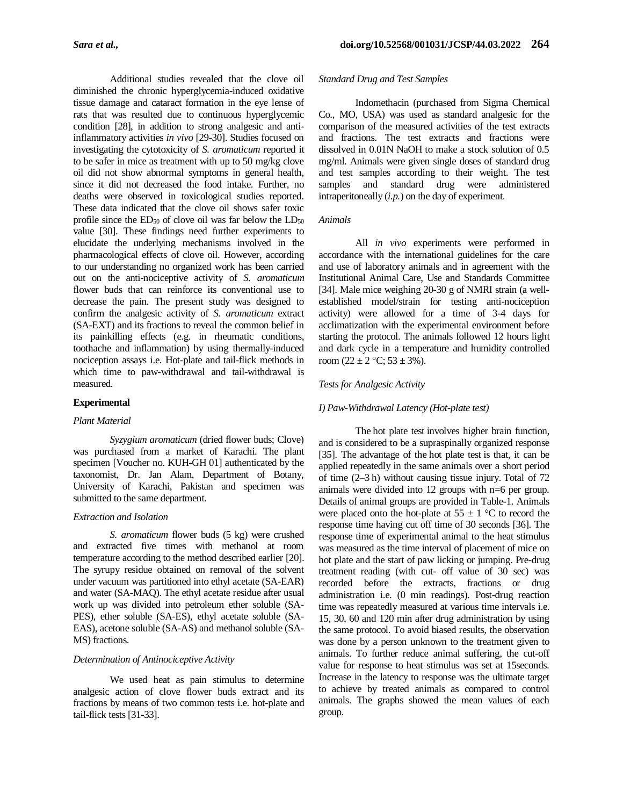Additional studies revealed that the clove oil diminished the chronic hyperglycemia-induced oxidative tissue damage and cataract formation in the eye lense of rats that was resulted due to continuous hyperglycemic condition [28], in addition to strong analgesic and antiinflammatory activities *in vivo* [29-30]. Studies focused on investigating the cytotoxicity of *S. aromaticum* reported it to be safer in mice as treatment with up to 50 mg/kg clove oil did not show abnormal symptoms in general health, since it did not decreased the food intake. Further, no deaths were observed in toxicological studies reported. These data indicated that the clove oil shows safer toxic profile since the  $ED_{50}$  of clove oil was far below the  $LD_{50}$ value [30]. These findings need further experiments to elucidate the underlying mechanisms involved in the pharmacological effects of clove oil. However, according to our understanding no organized work has been carried out on the anti-nociceptive activity of *S. aromaticum*  flower buds that can reinforce its conventional use to decrease the pain. The present study was designed to confirm the analgesic activity of *S. aromaticum* extract (SA-EXT) and its fractions to reveal the common belief in its painkilling effects (e.g. in rheumatic conditions, toothache and inflammation) by using thermally-induced nociception assays i.e. Hot-plate and tail-flick methods in which time to paw-withdrawal and tail-withdrawal is measured.

### **Experimental**

#### *Plant Material*

*Syzygium aromaticum* (dried flower buds; Clove) was purchased from a market of Karachi. The plant specimen [Voucher no. KUH-GH 01] authenticated by the taxonomist, Dr. Jan Alam, Department of Botany, University of Karachi, Pakistan and specimen was submitted to the same department.

# *Extraction and Isolation*

*S. aromaticum* flower buds (5 kg) were crushed and extracted five times with methanol at room temperature according to the method described earlier [20]. The syrupy residue obtained on removal of the solvent under vacuum was partitioned into ethyl acetate (SA-EAR) and water (SA-MAQ). The ethyl acetate residue after usual work up was divided into petroleum ether soluble (SA-PES), ether soluble (SA-ES), ethyl acetate soluble (SA-EAS), acetone soluble (SA-AS) and methanol soluble (SA-MS) fractions.

## *Determination of Antinociceptive Activity*

We used heat as pain stimulus to determine analgesic action of clove flower buds extract and its fractions by means of two common tests i.e. hot-plate and tail-flick tests [31-33].

### *Standard Drug and Test Samples*

Indomethacin (purchased from Sigma Chemical Co., MO, USA) was used as standard analgesic for the comparison of the measured activities of the test extracts and fractions. The test extracts and fractions were dissolved in 0.01N NaOH to make a stock solution of 0.5 mg/ml. Animals were given single doses of standard drug and test samples according to their weight. The test samples and standard drug were administered intraperitoneally (*i.p.*) on the day of experiment.

## *Animals*

All *in vivo* experiments were performed in accordance with the international guidelines for the care and use of laboratory animals and in agreement with the Institutional Animal Care, Use and Standards Committee [34]. Male mice weighing 20-30 g of NMRI strain (a wellestablished model/strain for testing anti-nociception activity) were allowed for a time of 3-4 days for acclimatization with the experimental environment before starting the protocol. The animals followed 12 hours light and dark cycle in a temperature and humidity controlled room  $(22 \pm 2 \degree C; 53 \pm 3\%)$ .

#### *Tests for Analgesic Activity*

#### *I) Paw-Withdrawal Latency (Hot-plate test)*

The hot plate test involves higher brain function, and is considered to be a supraspinally organized response [35]. The advantage of the hot plate test is that, it can be applied repeatedly in the same animals over a short period of time (2–3 h) without causing tissue injury. Total of 72 animals were divided into 12 groups with n=6 per group. Details of animal groups are provided in Table-1. Animals were placed onto the hot-plate at  $55 \pm 1$  °C to record the response time having cut off time of 30 seconds [36]. The response time of experimental animal to the heat stimulus was measured as the time interval of placement of mice on hot plate and the start of paw licking or jumping. Pre-drug treatment reading (with cut- off value of 30 sec) was recorded before the extracts, fractions or drug administration i.e. (0 min readings). Post-drug reaction time was repeatedly measured at various time intervals i.e. 15, 30, 60 and 120 min after drug administration by using the same protocol. To avoid biased results, the observation was done by a person unknown to the treatment given to animals. To further reduce animal suffering, the cut-off value for response to heat stimulus was set at 15seconds. Increase in the latency to response was the ultimate target to achieve by treated animals as compared to control animals. The graphs showed the mean values of each group.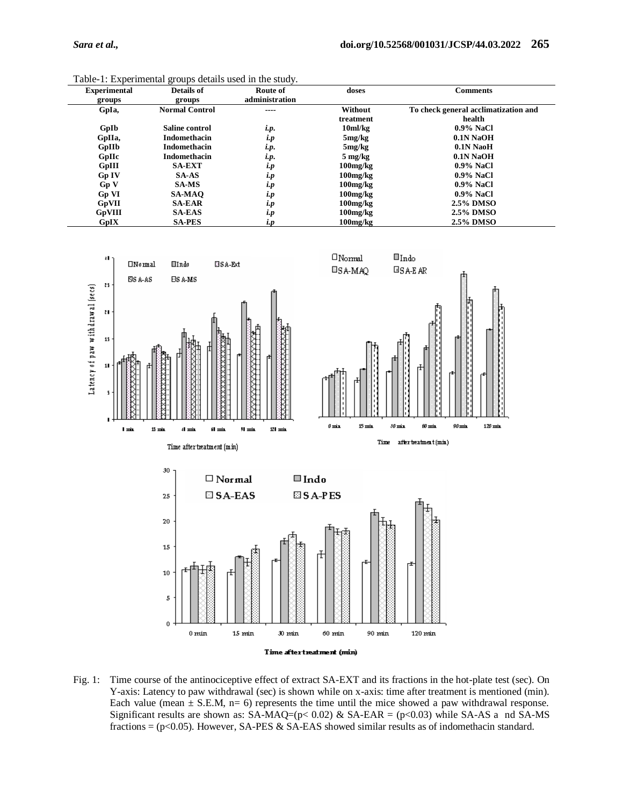| <b>Experimental</b> | Details of            | Route of       | doses             | <b>Comments</b>                      |
|---------------------|-----------------------|----------------|-------------------|--------------------------------------|
| groups              | groups                | administration |                   |                                      |
| GpIa,               | <b>Normal Control</b> | ----           | Without           | To check general acclimatization and |
|                     |                       |                | treatment         | health                               |
| GpIb                | Saline control        | i.p.           | $10m$ /kg         | $0.9\%$ NaCl                         |
| GpIIa,              | <b>Indomethacin</b>   | i.p            | 5mg/kg            | $0.1N$ NaOH                          |
| GpIIb               | <b>Indomethacin</b>   | i.p.           | 5mg/kg            | $0.1N$ NaoH                          |
| GpHc                | <b>Indomethacin</b>   | i.p.           | $5 \text{ mg/kg}$ | 0.1N NaOH                            |
| GpIII               | <b>SA-EXT</b>         | i.p            | $100$ mg/ $kg$    | $0.9\%$ NaCl                         |
| Gp IV               | <b>SA-AS</b>          | i.p            | $100$ mg/ $kg$    | $0.9\%$ NaCl                         |
| Gp V                | <b>SA-MS</b>          | i.p            | $100$ mg/ $kg$    | $0.9\%$ NaCl                         |
| <b>Gp VI</b>        | <b>SA-MAO</b>         | i.p            | $100$ mg/ $kg$    | $0.9\%$ NaCl                         |
| <b>GpVII</b>        | <b>SA-EAR</b>         | i.p            | $100$ mg/ $kg$    | 2.5% DMSO                            |
| GpVIII              | <b>SA-EAS</b>         | i.p            | $100$ mg/ $kg$    | 2.5% DMSO                            |
| GpIX                | <b>SA-PES</b>         | i.p            | $100$ mg/ $kg$    | 2.5% DMSO                            |

Table-1: Experimental groups details used in the study.



Fig. 1: Time course of the antinociceptive effect of extract SA-EXT and its fractions in the hot-plate test (sec). On Y-axis: Latency to paw withdrawal (sec) is shown while on x-axis: time after treatment is mentioned (min). Each value (mean  $\pm$  S.E.M, n= 6) represents the time until the mice showed a paw withdrawal response. Significant results are shown as:  $SA-MAQ=(p<0.02) \& SA-EAR = (p<0.03)$  while  $SA-AS$  a nd  $SA-MS$ fractions =  $(p<0.05)$ . However, SA-PES & SA-EAS showed similar results as of indomethacin standard.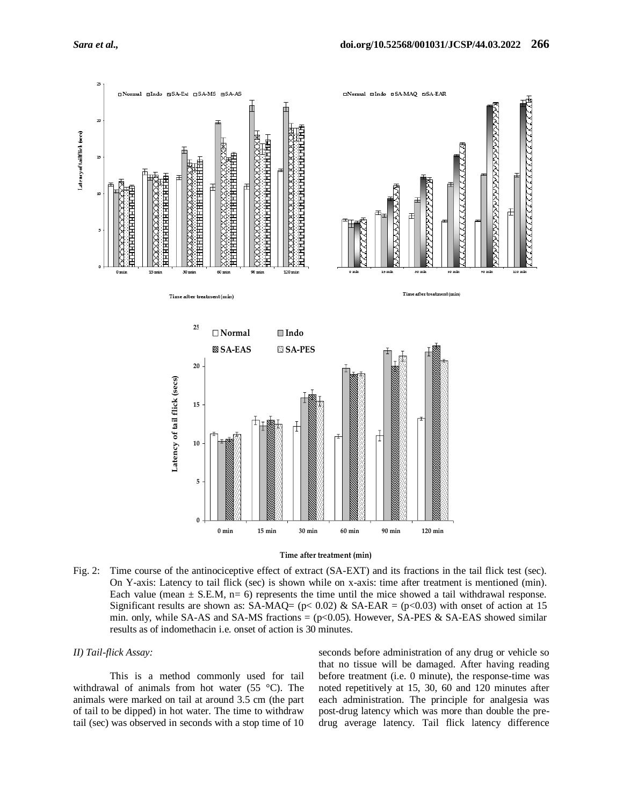



Fig. 2: Time course of the antinociceptive effect of extract (SA-EXT) and its fractions in the tail flick test (sec). On Y-axis: Latency to tail flick (sec) is shown while on x-axis: time after treatment is mentioned (min). Each value (mean  $\pm$  S.E.M, n= 6) represents the time until the mice showed a tail withdrawal response. Significant results are shown as: SA-MAQ= ( $p$ < 0.02) & SA-EAR = ( $p$ <0.03) with onset of action at 15 min. only, while SA-AS and SA-MS fractions  $=$  (p $<$ 0.05). However, SA-PES & SA-EAS showed similar results as of indomethacin i.e. onset of action is 30 minutes.

#### *II) Tail-flick Assay:*

This is a method commonly used for tail withdrawal of animals from hot water (55 °C). The animals were marked on tail at around 3.5 cm (the part of tail to be dipped) in hot water. The time to withdraw tail (sec) was observed in seconds with a stop time of 10 seconds before administration of any drug or vehicle so that no tissue will be damaged. After having reading before treatment (i.e. 0 minute), the response-time was noted repetitively at 15, 30, 60 and 120 minutes after each administration. The principle for analgesia was post-drug latency which was more than double the predrug average latency. Tail flick latency difference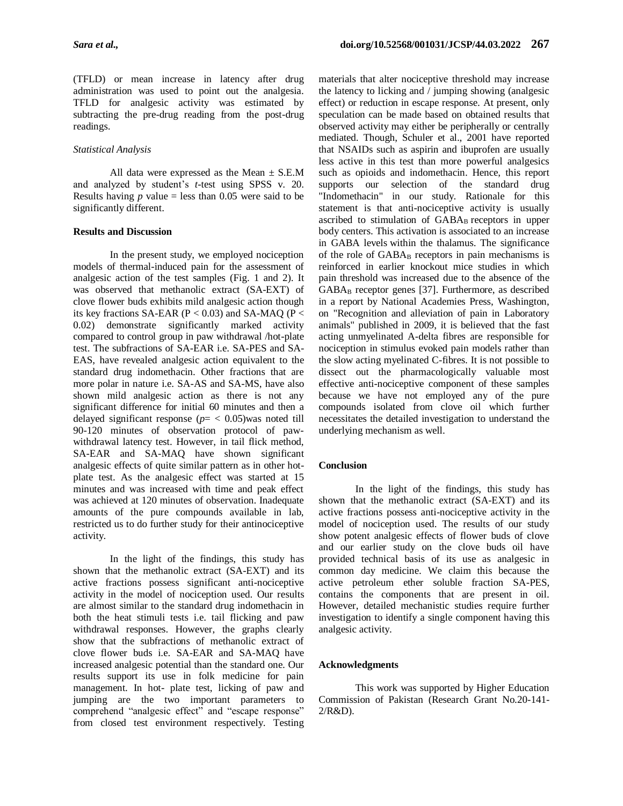(TFLD) or mean increase in latency after drug administration was used to point out the analgesia. TFLD for analgesic activity was estimated by subtracting the pre-drug reading from the post-drug readings.

## *Statistical Analysis*

All data were expressed as the Mean  $\pm$  S.E.M and analyzed by student's *t*-test using SPSS v. 20. Results having  $p$  value = less than 0.05 were said to be significantly different.

## **Results and Discussion**

In the present study, we employed nociception models of thermal-induced pain for the assessment of analgesic action of the test samples (Fig. 1 and 2). It was observed that methanolic extract (SA-EXT) of clove flower buds exhibits mild analgesic action though its key fractions SA-EAR ( $P < 0.03$ ) and SA-MAQ ( $P <$ 0.02) demonstrate significantly marked activity compared to control group in paw withdrawal /hot-plate test. The subfractions of SA-EAR i.e. SA-PES and SA-EAS, have revealed analgesic action equivalent to the standard drug indomethacin. Other fractions that are more polar in nature i.e. SA-AS and SA-MS, have also shown mild analgesic action as there is not any significant difference for initial 60 minutes and then a delayed significant response  $(p = 0.05)$  was noted till 90-120 minutes of observation protocol of pawwithdrawal latency test. However, in tail flick method, SA-EAR and SA-MAQ have shown significant analgesic effects of quite similar pattern as in other hotplate test. As the analgesic effect was started at 15 minutes and was increased with time and peak effect was achieved at 120 minutes of observation. Inadequate amounts of the pure compounds available in lab, restricted us to do further study for their antinociceptive activity.

In the light of the findings, this study has shown that the methanolic extract (SA-EXT) and its active fractions possess significant anti-nociceptive activity in the model of nociception used. Our results are almost similar to the standard drug indomethacin in both the heat stimuli tests i.e. tail flicking and paw withdrawal responses. However, the graphs clearly show that the subfractions of methanolic extract of clove flower buds i.e. SA-EAR and SA-MAQ have increased analgesic potential than the standard one. Our results support its use in folk medicine for pain management. In hot- plate test, licking of paw and jumping are the two important parameters to comprehend "analgesic effect" and "escape response" from closed test environment respectively. Testing materials that alter nociceptive threshold may increase the latency to licking and / jumping showing (analgesic effect) or reduction in escape response. At present, only speculation can be made based on obtained results that observed activity may either be peripherally or centrally mediated. Though, Schuler et al., 2001 have reported that NSAIDs such as aspirin and ibuprofen are usually less active in this test than more powerful analgesics such as opioids and indomethacin. Hence, this report supports our selection of the standard drug "Indomethacin" in our study. Rationale for this statement is that anti-nociceptive activity is usually ascribed to stimulation of GABA<sub>B</sub> receptors in upper body centers. This activation is associated to an increase in GABA levels within the thalamus. The significance of the role of  $GABA_B$  receptors in pain mechanisms is reinforced in earlier knockout mice studies in which pain threshold was increased due to the absence of the  $GABA_B$  receptor genes [37]. Furthermore, as described in a report by National Academies Press, Washington, on "Recognition and alleviation of pain in Laboratory animals" published in 2009, it is believed that the fast acting unmyelinated A-delta fibres are responsible for nociception in stimulus evoked pain models rather than the slow acting myelinated C-fibres. It is not possible to dissect out the pharmacologically valuable most effective anti-nociceptive component of these samples because we have not employed any of the pure compounds isolated from clove oil which further necessitates the detailed investigation to understand the underlying mechanism as well.

# **Conclusion**

In the light of the findings, this study has shown that the methanolic extract (SA-EXT) and its active fractions possess anti-nociceptive activity in the model of nociception used. The results of our study show potent analgesic effects of flower buds of clove and our earlier study on the clove buds oil have provided technical basis of its use as analgesic in common day medicine. We claim this because the active petroleum ether soluble fraction SA-PES, contains the components that are present in oil. However, detailed mechanistic studies require further investigation to identify a single component having this analgesic activity.

### **Acknowledgments**

This work was supported by Higher Education Commission of Pakistan (Research Grant No.20-141- 2/R&D).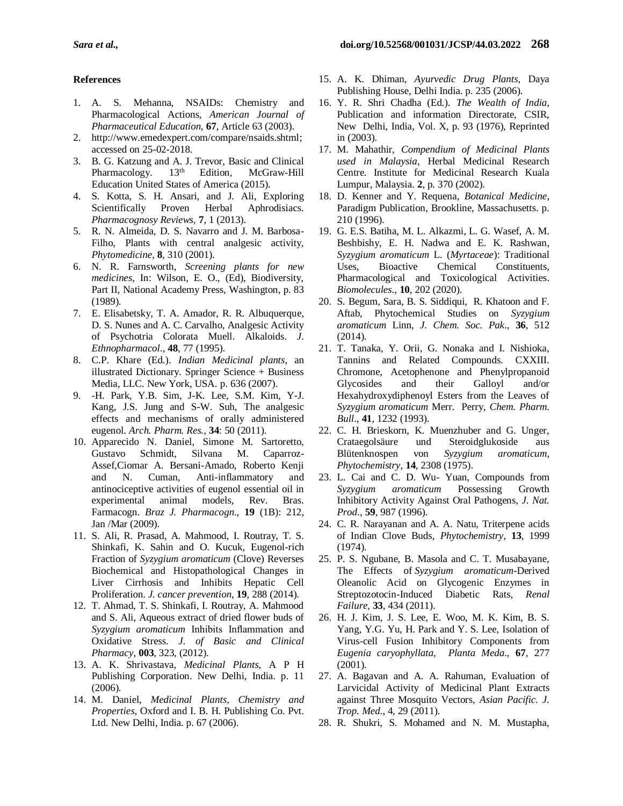# **References**

- 1. A. S. Mehanna, NSAIDs: Chemistry and Pharmacological Actions, *American Journal of Pharmaceutical Education,* **67**, Article 63 (2003).
- 2. [http://www.emedexpert.com/compare/nsaids.shtml;](http://www.emedexpert.com/compare/nsaids.shtml) accessed on 25-02-2018.
- 3. B. G. Katzung and A. J. Trevor, Basic and Clinical<br>Pharmacology. 13<sup>th</sup> Edition, McGraw-Hill Pharmacology. 13<sup>th</sup> Edition, McGraw-Hill Education United States of America (2015).
- 4. S. Kotta, S. H. Ansari, and J. Ali, Exploring Scientifically Proven Herbal Aphrodisiacs. *Pharmacognosy Reviews,* **7**, 1 (2013).
- 5. R. N. Almeida, D. S. Navarro and J. M. Barbosa-Filho, Plants with central analgesic activity, *Phytomedicine*, **8**, 310 (2001).
- 6. N. R. Farnsworth, *Screening plants for new medicines*, In: Wilson, E. O., (Ed), Biodiversity, Part II, National Academy Press, Washington, p. 83 (1989).
- 7. E. Elisabetsky, T. A. Amador, R. R. Albuquerque, D. S. Nunes and A. C. Carvalho, Analgesic Activity of Psychotria Colorata Muell. Alkaloids. *J. Ethnopharmacol*., **48**, 77 (1995).
- 8. C.P. Khare (Ed.). *Indian Medicinal plants*, an illustrated Dictionary. Springer Science + Business Media, LLC. New York, USA. p. 636 (2007).
- 9. -H. Park, Y.B. Sim, J-K. Lee, S.M. Kim, Y-J. Kang, J.S. Jung and S-W. Suh, The analgesic effects and mechanisms of orally administered eugenol. *Arch. Pharm. Res.,* **34**: 50 (2011).
- 10. Apparecido N. Daniel, Simone M. Sartoretto, Gustavo Schmidt, Silvana M. Caparroz-Assef,Ciomar A. Bersani-Amado, Roberto Kenji and N. Cuman, Anti-inflammatory and antinociceptive activities of eugenol essential oil in experimental animal models, Rev. Bras. Farmacogn. *Braz J. Pharmacogn*., **19** (1B): 212, Jan /Mar (2009).
- 11. S. Ali, R. Prasad, A. Mahmood, I. Routray, T. S. Shinkafi, K. Sahin and O. Kucuk, Eugenol-rich Fraction of *Syzygium aromaticum* (Clove) Reverses Biochemical and Histopathological Changes in Liver Cirrhosis and Inhibits Hepatic Cell Proliferation. *J. cancer prevention*, **19**, 288 (2014).
- 12. T. Ahmad, T. S. Shinkafi, I. Routray, A. Mahmood and S. Ali, Aqueous extract of dried flower buds of *Syzygium aromaticum* Inhibits Inflammation and Oxidative Stress. *J. of Basic and Clinical Pharmacy*, **003**, 323, (2012).
- 13. A. K. Shrivastava, *Medicinal Plants*, A P H Publishing Corporation. New Delhi, India. p. 11 (2006).
- 14. M. Daniel, *Medicinal Plants, Chemistry and Properties*, Oxford and I. B. H. Publishing Co. Pvt. Ltd. New Delhi, India. p. 67 (2006).
- 15. A. K. Dhiman, *Ayurvedic Drug Plants,* Daya Publishing House, Delhi India. p. 235 (2006).
- 16. Y. R. Shri Chadha (Ed.). *The Wealth of India,* Publication and information Directorate, CSIR, New Delhi, India, Vol. X, p. 93 (1976), Reprinted in (2003).
- 17. M. Mahathir, *Compendium of Medicinal Plants used in Malaysia*, Herbal Medicinal Research Centre. Institute for Medicinal Research Kuala Lumpur, Malaysia. **2**, p. 370 (2002).
- 18. D. Kenner and Y. Requena, *Botanical Medicine*, Paradigm Publication, Brookline, Massachusetts. p. 210 (1996).
- 19. [G. E.S. Batiha,](https://www.ncbi.nlm.nih.gov/pubmed/?term=El-Saber%20Batiha%20G%5BAuthor%5D&cauthor=true&cauthor_uid=32019140) M. [L. Alkazmi,](https://www.ncbi.nlm.nih.gov/pubmed/?term=Alkazmi%20LM%5BAuthor%5D&cauthor=true&cauthor_uid=32019140) [L. G. Wasef,](https://www.ncbi.nlm.nih.gov/pubmed/?term=Wasef%20LG%5BAuthor%5D&cauthor=true&cauthor_uid=32019140) [A. M.](https://www.ncbi.nlm.nih.gov/pubmed/?term=Beshbishy%20AM%5BAuthor%5D&cauthor=true&cauthor_uid=32019140)  [Beshbishy,](https://www.ncbi.nlm.nih.gov/pubmed/?term=Beshbishy%20AM%5BAuthor%5D&cauthor=true&cauthor_uid=32019140) [E. H. Nadwa](https://www.ncbi.nlm.nih.gov/pubmed/?term=Nadwa%20EH%5BAuthor%5D&cauthor=true&cauthor_uid=32019140) and [E. K. Rashwan,](https://www.ncbi.nlm.nih.gov/pubmed/?term=Rashwan%20EK%5BAuthor%5D&cauthor=true&cauthor_uid=32019140) *Syzygium aromaticum* L. (*Myrtaceae*): Traditional Uses, Bioactive Chemical Constituents, Pharmacological and Toxicological Activities. *[Biomolecules.](https://www.ncbi.nlm.nih.gov/pmc/articles/PMC7072209/),* **10**, 202 (2020).
- 20. S. Begum, Sara, B. S. Siddiqui, R. Khatoon and F. Aftab, Phytochemical Studies on *Syzygium aromaticum* Linn, *J. Chem. Soc. Pak*., **36**, 512 (2014).
- 21. T. Tanaka, Y. Orii, G. Nonaka and I. Nishioka, Tannins and Related Compounds. CXXIII. Chromone, Acetophenone and Phenylpropanoid Glycosides and their Galloyl and/or Hexahydroxydiphenoyl Esters from the Leaves of *Syzygium aromaticum* Merr. Perry, *Chem. Pharm. Bull*., **41**, 1232 (1993).
- 22. C. H. Brieskorn, K. Muenzhuber and G. Unger, Crataegolsäure und Steroidglukoside aus Blütenknospen von *Syzygium aromaticum*, *Phytochemistry*, **14**, 2308 (1975).
- 23. L. Cai and C. D. Wu- Yuan, Compounds from *Syzygium aromaticum* Possessing Growth Inhibitory Activity Against Oral Pathogens, *J. Nat. Prod*., **59**, 987 (1996).
- 24. C. R. Narayanan and A. A. Natu, Triterpene acids of Indian Clove Buds*, Phytochemistry*, **13**, 1999 (1974).
- 25. P. S. Ngubane, B. Masola and C. T. Musabayane, The Effects of *Syzygium aromaticum*-Derived Oleanolic Acid on Glycogenic Enzymes in Streptozotocin-Induced Diabetic Rats, *Renal Failure*, **33**, 434 (2011).
- 26. H. J. Kim, J. S. Lee, E. Woo, M. K. Kim, B. S. Yang, Y.G. Yu, H. Park and Y. S. Lee, Isolation of Virus-cell Fusion Inhibitory Components from *Eugenia caryophyllata*, *Planta Meda*., **67**, 277 (2001).
- 27. A. Bagavan and A. A. Rahuman, Evaluation of Larvicidal Activity of Medicinal Plant Extracts against Three Mosquito Vectors, *Asian Pacific. J. Trop. Med*., 4, 29 (2011).
- 28. R. Shukri, S. Mohamed and N. M. Mustapha,